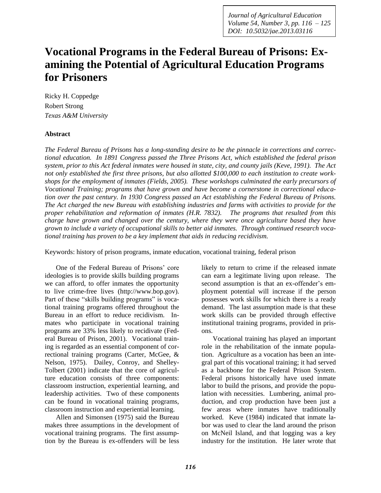*Journal of Agricultural Education Volume 54, Number 3, pp. 116 – 125 DOI: 10.5032/jae.2013.03116*

# **Vocational Programs in the Federal Bureau of Prisons: Examining the Potential of Agricultural Education Programs for Prisoners**

Ricky H. Coppedge Robert Strong *Texas A&M University*

#### **Abstract**

*The Federal Bureau of Prisons has a long-standing desire to be the pinnacle in corrections and correctional education. In 1891 Congress passed the Three Prisons Act, which established the federal prison system, prior to this Act federal inmates were housed in state, city, and county jails (Keve, 1991). The Act not only established the first three prisons, but also allotted \$100,000 to each institution to create workshops for the employment of inmates (Fields, 2005). These workshops culminated the early precursors of Vocational Training; programs that have grown and have become a cornerstone in correctional education over the past century. In 1930 Congress passed an Act establishing the Federal Bureau of Prisons. The Act charged the new Bureau with establishing industries and farms with activities to provide for the proper rehabilitation and reformation of inmates (H.R. 7832). The programs that resulted from this charge have grown and changed over the century, where they were once agriculture based they have grown to include a variety of occupational skills to better aid inmates. Through continued research vocational training has proven to be a key implement that aids in reducing recidivism.* 

Keywords: history of prison programs, inmate education, vocational training, federal prison

One of the Federal Bureau of Prisons' core ideologies is to provide skills building programs we can afford, to offer inmates the opportunity to live crime-free lives (http://www.bop.gov). Part of these "skills building programs" is vocational training programs offered throughout the Bureau in an effort to reduce recidivism. Inmates who participate in vocational training programs are 33% less likely to recidivate (Federal Bureau of Prison, 2001). Vocational training is regarded as an essential component of correctional training programs (Carter, McGee, & Nelson, 1975). Dailey, Conroy, and Shelley-Tolbert (2001) indicate that the core of agriculture education consists of three components: classroom instruction, experiential learning, and leadership activities. Two of these components can be found in vocational training programs, classroom instruction and experiential learning.

Allen and Simonsen (1975) said the Bureau makes three assumptions in the development of vocational training programs. The first assumption by the Bureau is ex-offenders will be less

likely to return to crime if the released inmate can earn a legitimate living upon release. The second assumption is that an ex-offender's employment potential will increase if the person possesses work skills for which there is a ready demand. The last assumption made is that these work skills can be provided through effective institutional training programs, provided in prisons.

Vocational training has played an important role in the rehabilitation of the inmate population. Agriculture as a vocation has been an integral part of this vocational training; it had served as a backbone for the Federal Prison System. Federal prisons historically have used inmate labor to build the prisons, and provide the population with necessities. Lumbering, animal production, and crop production have been just a few areas where inmates have traditionally worked. Keve (1984) indicated that inmate labor was used to clear the land around the prison on McNeil Island, and that logging was a key industry for the institution. He later wrote that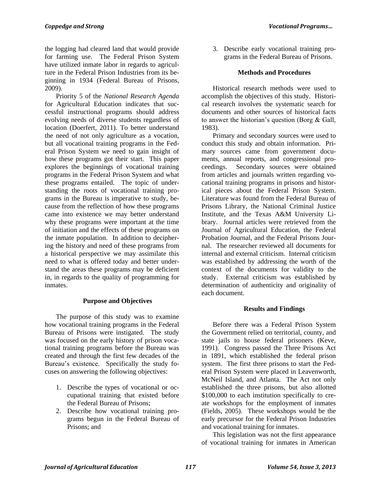the logging had cleared land that would provide for farming use. The Federal Prison System have utilized inmate labor in regards to agriculture in the Federal Prison Industries from its beginning in 1934 (Federal Bureau of Prisons, 2009).

Priority 5 of the *National Research Agenda* for Agricultural Education indicates that successful instructional programs should address evolving needs of diverse students regardless of location (Doerfert, 2011). To better understand the need of not only agriculture as a vocation, but all vocational training programs in the Federal Prison System we need to gain insight of how these programs got their start. This paper explores the beginnings of vocational training programs in the Federal Prison System and what these programs entailed. The topic of understanding the roots of vocational training programs in the Bureau is imperative to study, because from the reflection of how these programs came into existence we may better understand why these programs were important at the time of initiation and the effects of these programs on the inmate population. In addition to deciphering the history and need of these programs from a historical perspective we may assimilate this need to what is offered today and better understand the areas these programs may be deficient in, in regards to the quality of programming for inmates.

#### **Purpose and Objectives**

The purpose of this study was to examine how vocational training programs in the Federal Bureau of Prisons were instigated. The study was focused on the early history of prison vocational training programs before the Bureau was created and through the first few decades of the Bureau's existence. Specifically the study focuses on answering the following objectives:

- 1. Describe the types of vocational or occupational training that existed before the Federal Bureau of Prisons;
- 2. Describe how vocational training programs begun in the Federal Bureau of Prisons; and

3. Describe early vocational training programs in the Federal Bureau of Prisons.

### **Methods and Procedures**

Historical research methods were used to accomplish the objectives of this study. Historical research involves the systematic search for documents and other sources of historical facts to answer the historian's question (Borg & Gall, 1983).

Primary and secondary sources were used to conduct this study and obtain information. Primary sources came from government documents, annual reports, and congressional proceedings. Secondary sources were obtained from articles and journals written regarding vocational training programs in prisons and historical pieces about the Federal Prison System. Literature was found from the Federal Bureau of Prisons Library, the National Criminal Justice Institute, and the Texas A&M University Library. Journal articles were retrieved from the Journal of Agricultural Education, the Federal Probation Journal, and the Federal Prisons Journal. The researcher reviewed all documents for internal and external criticism. Internal criticism was established by addressing the worth of the context of the documents for validity to the study. External criticism was established by determination of authenticity and originality of each document.

#### **Results and Findings**

Before there was a Federal Prison System the Government relied on territorial, county, and state jails to house federal prisoners (Keve, 1991). Congress passed the Three Prisons Act in 1891, which established the federal prison system. The first three prisons to start the Federal Prison System were placed in Leavenworth, McNeil Island, and Atlanta. The Act not only established the three prisons, but also allotted \$100,000 to each institution specifically to create workshops for the employment of inmates (Fields, 2005). These workshops would be the early precursor for the Federal Prison Industries and vocational training for inmates.

This legislation was not the first appearance of vocational training for inmates in American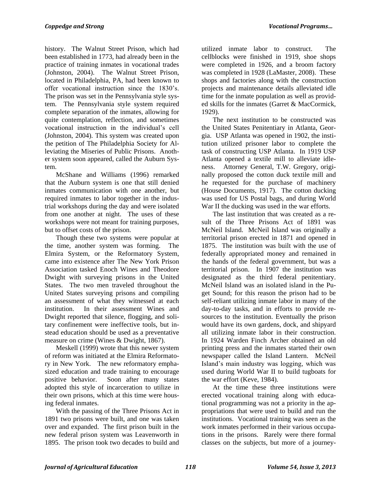history. The Walnut Street Prison, which had been established in 1773, had already been in the practice of training inmates in vocational trades (Johnston, 2004). The Walnut Street Prison, located in Philadelphia, PA, had been known to offer vocational instruction since the 1830's. The prison was set in the Pennsylvania style system. The Pennsylvania style system required complete separation of the inmates, allowing for quite contemplation, reflection, and sometimes vocational instruction in the individual's cell (Johnston, 2004). This system was created upon the petition of The Philadelphia Society for Alleviating the Miseries of Public Prisons. Another system soon appeared, called the Auburn System.

McShane and Williams (1996) remarked that the Auburn system is one that still denied inmates communication with one another, but required inmates to labor together in the industrial workshops during the day and were isolated from one another at night. The uses of these workshops were not meant for training purposes, but to offset costs of the prison.

Though these two systems were popular at the time, another system was forming. The Elmira System, or the Reformatory System, came into existence after The New York Prison Association tasked Enoch Wines and Theodore Dwight with surveying prisons in the United States. The two men traveled throughout the United States surveying prisons and compiling an assessment of what they witnessed at each institution. In their assessment Wines and Dwight reported that silence, flogging, and solitary confinement were ineffective tools, but instead education should be used as a preventative measure on crime (Wines & Dwight, 1867).

Meskell (1999) wrote that this newer system of reform was initiated at the Elmira Reformatory in New York. The new reformatory emphasized education and trade training to encourage positive behavior. Soon after many states adopted this style of incarceration to utilize in their own prisons, which at this time were housing federal inmates.

With the passing of the Three Prisons Act in 1891 two prisons were built, and one was taken over and expanded. The first prison built in the new federal prison system was Leavenworth in 1895. The prison took two decades to build and utilized inmate labor to construct. The cellblocks were finished in 1919, shoe shops were completed in 1926, and a broom factory was completed in 1928 (LaMaster, 2008). These shops and factories along with the construction projects and maintenance details alleviated idle time for the inmate population as well as provided skills for the inmates (Garret & MacCormick, 1929).

The next institution to be constructed was the United States Penitentiary in Atlanta, Georgia. USP Atlanta was opened in 1902, the institution utilized prisoner labor to complete the task of constructing USP Atlanta. In 1919 USP Atlanta opened a textile mill to alleviate idleness. Attorney General, T.W. Gregory, originally proposed the cotton duck textile mill and he requested for the purchase of machinery (House Documents, 1917). The cotton ducking was used for US Postal bags, and during World War II the ducking was used in the war efforts.

The last institution that was created as a result of the Three Prisons Act of 1891 was McNeil Island. McNeil Island was originally a territorial prison erected in 1871 and opened in 1875. The institution was built with the use of federally appropriated money and remained in the hands of the federal government, but was a territorial prison. In 1907 the institution was designated as the third federal penitentiary. McNeil Island was an isolated island in the Puget Sound; for this reason the prison had to be self-reliant utilizing inmate labor in many of the day-to-day tasks, and in efforts to provide resources to the institution. Eventually the prison would have its own gardens, dock, and shipyard all utilizing inmate labor in their construction. In 1924 Warden Finch Archer obtained an old printing press and the inmates started their own newspaper called the Island Lantern. McNeil Island's main industry was logging, which was used during World War II to build tugboats for the war effort (Keve, 1984).

At the time these three institutions were erected vocational training along with educational programming was not a priority in the appropriations that were used to build and run the institutions. Vocational training was seen as the work inmates performed in their various occupations in the prisons. Rarely were there formal classes on the subjects, but more of a journey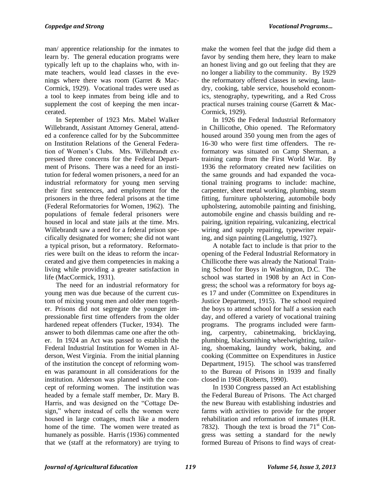man/ apprentice relationship for the inmates to learn by. The general education programs were typically left up to the chaplains who, with inmate teachers, would lead classes in the evenings where there was room (Garret & Mac-Cormick, 1929). Vocational trades were used as a tool to keep inmates from being idle and to supplement the cost of keeping the men incarcerated.

In September of 1923 Mrs. Mabel Walker Willebrandt, Assistant Attorney General, attended a conference called for by the Subcommittee on Institution Relations of the General Federation of Women's Clubs. Mrs. Willebrandt expressed three concerns for the Federal Department of Prisons. There was a need for an institution for federal women prisoners, a need for an industrial reformatory for young men serving their first sentences, and employment for the prisoners in the three federal prisons at the time (Federal Reformatories for Women, 1962). The populations of female federal prisoners were housed in local and state jails at the time. Mrs. Willebrandt saw a need for a federal prison specifically designated for women; she did not want a typical prison, but a reformatory. Reformatories were built on the ideas to reform the incarcerated and give them competencies in making a living while providing a greater satisfaction in life (MacCormick, 1931).

The need for an industrial reformatory for young men was due because of the current custom of mixing young men and older men together. Prisons did not segregate the younger impressionable first time offenders from the older hardened repeat offenders (Tucker, 1934). The answer to both dilemmas came one after the other. In 1924 an Act was passed to establish the Federal Industrial Institution for Women in Alderson, West Virginia. From the initial planning of the institution the concept of reforming women was paramount in all considerations for the institution. Alderson was planned with the concept of reforming women. The institution was headed by a female staff member, Dr. Mary B. Harris, and was designed on the "Cottage Design," where instead of cells the women were housed in large cottages, much like a modern home of the time. The women were treated as humanely as possible. Harris (1936) commented that we (staff at the reformatory) are trying to

make the women feel that the judge did them a favor by sending them here, they learn to make an honest living and go out feeling that they are no longer a liability to the community. By 1929 the reformatory offered classes in sewing, laundry, cooking, table service, household economics, stenography, typewriting, and a Red Cross practical nurses training course (Garrett & Mac-Cormick, 1929).

In 1926 the Federal Industrial Reformatory in Chillicothe, Ohio opened. The Reformatory housed around 350 young men from the ages of 16-30 who were first time offenders. The reformatory was situated on Camp Sherman, a training camp from the First World War. By 1936 the reformatory created new facilities on the same grounds and had expanded the vocational training programs to include: machine, carpenter, sheet metal working, plumbing, steam fitting, furniture upholstering, automobile body upholstering, automobile painting and finishing, automobile engine and chassis building and repairing, ignition repairing, vulcanizing, electrical wiring and supply repairing, typewriter repairing, and sign painting (Langeluttig, 1927).

A notable fact to include is that prior to the opening of the Federal Industrial Reformatory in Chillicothe there was already the National Training School for Boys in Washington, D.C. The school was started in 1908 by an Act in Congress; the school was a reformatory for boys ages 17 and under (Committee on Expenditures in Justice Department, 1915). The school required the boys to attend school for half a session each day, and offered a variety of vocational training programs. The programs included were farming, carpentry, cabinetmaking, bricklaying, plumbing, blacksmithing wheelwrighting, tailoring, shoemaking, laundry work, baking, and cooking (Committee on Expenditures in Justice Department, 1915). The school was transferred to the Bureau of Prisons in 1939 and finally closed in 1968 (Roberts, 1990).

In 1930 Congress passed an Act establishing the Federal Bureau of Prisons. The Act charged the new Bureau with establishing industries and farms with activities to provide for the proper rehabilitation and reformation of inmates (H.R. 7832). Though the text is broad the  $71<sup>st</sup>$  Congress was setting a standard for the newly formed Bureau of Prisons to find ways of creat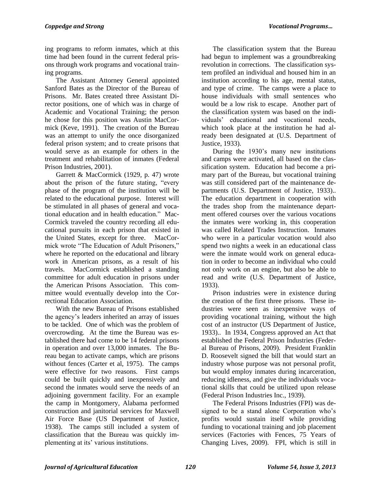ing programs to reform inmates, which at this time had been found in the current federal prisons through work programs and vocational training programs.

The Assistant Attorney General appointed Sanford Bates as the Director of the Bureau of Prisons. Mr. Bates created three Assistant Director positions, one of which was in charge of Academic and Vocational Training; the person he chose for this position was Austin MacCormick (Keve, 1991). The creation of the Bureau was an attempt to unify the once disorganized federal prison system; and to create prisons that would serve as an example for others in the treatment and rehabilitation of inmates (Federal Prison Industries, 2001).

Garrett & MacCormick (1929, p. 47) wrote about the prison of the future stating, "every phase of the program of the institution will be related to the educational purpose. Interest will be stimulated in all phases of general and vocational education and in health education." Mac-Cormick traveled the country recording all educational pursuits in each prison that existed in the United States, except for three. MacCormick wrote "The Education of Adult Prisoners," where he reported on the educational and library work in American prisons, as a result of his travels. MacCormick established a standing committee for adult education in prisons under the American Prisons Association. This committee would eventually develop into the Correctional Education Association.

With the new Bureau of Prisons established the agency's leaders inherited an array of issues to be tackled. One of which was the problem of overcrowding. At the time the Bureau was established there had come to be 14 federal prisons in operation and over 13,000 inmates. The Bureau began to activate camps, which are prisons without fences (Carter et al, 1975). The camps were effective for two reasons. First camps could be built quickly and inexpensively and second the inmates would serve the needs of an adjoining government facility. For an example the camp in Montgomery, Alabama performed construction and janitorial services for Maxwell Air Force Base (US Department of Justice, 1938). The camps still included a system of classification that the Bureau was quickly implementing at its' various institutions.

The classification system that the Bureau had begun to implement was a groundbreaking revolution in corrections. The classification system profiled an individual and housed him in an institution according to his age, mental status, and type of crime. The camps were a place to house individuals with small sentences who would be a low risk to escape. Another part of the classification system was based on the individuals' educational and vocational needs, which took place at the institution he had already been designated at (U.S. Department of Justice, 1933).

During the 1930's many new institutions and camps were activated, all based on the classification system. Education had become a primary part of the Bureau, but vocational training was still considered part of the maintenance departments (U.S. Department of Justice, 1933).. The education department in cooperation with the trades shop from the maintenance department offered courses over the various vocations the inmates were working in, this cooperation was called Related Trades Instruction. Inmates who were in a particular vocation would also spend two nights a week in an educational class were the inmate would work on general education in order to become an individual who could not only work on an engine, but also be able to read and write (U.S. Department of Justice, 1933).

Prison industries were in existence during the creation of the first three prisons. These industries were seen as inexpensive ways of providing vocational training, without the high cost of an instructor (US Department of Justice, 1933).. In 1934, Congress approved an Act that established the Federal Prison Industries (Federal Bureau of Prisons, 2009). President Franklin D. Roosevelt signed the bill that would start an industry whose purpose was not personal profit, but would employ inmates during incarceration, reducing idleness, and give the individuals vocational skills that could be utilized upon release (Federal Prison Industries Inc., 1939).

The Federal Prisons Industries (FPI) was designed to be a stand alone Corporation who's profits would sustain itself while providing funding to vocational training and job placement services (Factories with Fences, 75 Years of Changing Lives, 2009). FPI, which is still in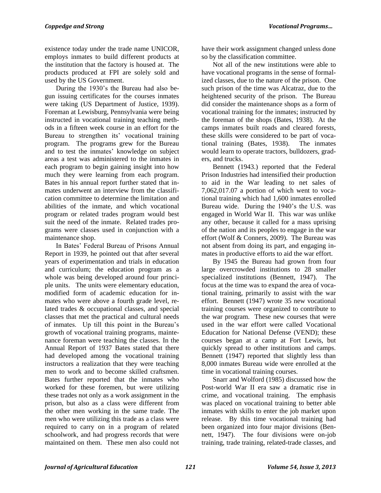existence today under the trade name UNICOR, employs inmates to build different products at the institution that the factory is housed at. The products produced at FPI are solely sold and used by the US Government.

During the 1930's the Bureau had also begun issuing certificates for the courses inmates were taking (US Department of Justice, 1939). Foreman at Lewisburg, Pennsylvania were being instructed in vocational training teaching methods in a fifteen week course in an effort for the Bureau to strengthen its' vocational training program. The programs grew for the Bureau and to test the inmates' knowledge on subject areas a test was administered to the inmates in each program to begin gaining insight into how much they were learning from each program. Bates in his annual report further stated that inmates underwent an interview from the classification committee to determine the limitation and abilities of the inmate, and which vocational program or related trades program would best suit the need of the inmate. Related trades programs were classes used in conjunction with a maintenance shop.

In Bates' Federal Bureau of Prisons Annual Report in 1939, he pointed out that after several years of experimentation and trials in education and curriculum; the education program as a whole was being developed around four principle units. The units were elementary education, modified form of academic education for inmates who were above a fourth grade level, related trades & occupational classes, and special classes that met the practical and cultural needs of inmates. Up till this point in the Bureau's growth of vocational training programs, maintenance foreman were teaching the classes. In the Annual Report of 1937 Bates stated that there had developed among the vocational training instructors a realization that they were teaching men to work and to become skilled craftsmen. Bates further reported that the inmates who worked for these foremen, but were utilizing these trades not only as a work assignment in the prison, but also as a class were different from the other men working in the same trade. The men who were utilizing this trade as a class were required to carry on in a program of related schoolwork, and had progress records that were maintained on them. These men also could not

have their work assignment changed unless done so by the classification committee.

Not all of the new institutions were able to have vocational programs in the sense of formalized classes, due to the nature of the prison. One such prison of the time was Alcatraz, due to the heightened security of the prison. The Bureau did consider the maintenance shops as a form of vocational training for the inmates; instructed by the foreman of the shops (Bates, 1938). At the camps inmates built roads and cleared forests, these skills were considered to be part of vocational training (Bates, 1938). The inmates would learn to operate tractors, bulldozers, graders, and trucks.

Bennett (1943.) reported that the Federal Prison Industries had intensified their production to aid in the War leading to net sales of 7,062,017.07 a portion of which went to vocational training which had 1,600 inmates enrolled Bureau wide. During the 1940's the U.S. was engaged in World War II. This war was unlike any other, because it called for a mass uprising of the nation and its peoples to engage in the war effort (Wolf & Conners, 2009). The Bureau was not absent from doing its part, and engaging inmates in productive efforts to aid the war effort.

By 1945 the Bureau had grown from four large overcrowded institutions to 28 smaller specialized institutions (Bennett, 1947). The focus at the time was to expand the area of vocational training, primarily to assist with the war effort. Bennett (1947) wrote 35 new vocational training courses were organized to contribute to the war program. These new courses that were used in the war effort were called Vocational Education for National Defense (VEND); these courses began at a camp at Fort Lewis, but quickly spread to other institutions and camps. Bennett (1947) reported that slightly less than 8,000 inmates Bureau wide were enrolled at the time in vocational training courses.

Snarr and Wolford (1985) discussed how the Post-world War II era saw a dramatic rise in crime, and vocational training. The emphasis was placed on vocational training to better able inmates with skills to enter the job market upon release. By this time vocational training had been organized into four major divisions (Bennett, 1947). The four divisions were on-job training, trade training, related-trade classes, and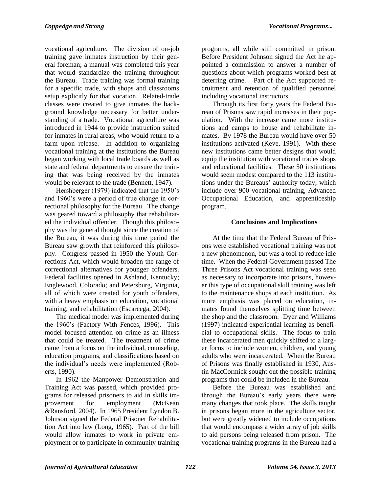vocational agriculture. The division of on-job training gave inmates instruction by their general foreman; a manual was completed this year that would standardize the training throughout the Bureau. Trade training was formal training for a specific trade, with shops and classrooms setup explicitly for that vocation. Related-trade classes were created to give inmates the background knowledge necessary for better understanding of a trade. Vocational agriculture was introduced in 1944 to provide instruction suited for inmates in rural areas, who would return to a farm upon release. In addition to organizing vocational training at the institutions the Bureau began working with local trade boards as well as state and federal departments to ensure the training that was being received by the inmates would be relevant to the trade (Bennett, 1947).

Hershberger (1979) indicated that the 1950's and 1960's were a period of true change in correctional philosophy for the Bureau. The change was geared toward a philosophy that rehabilitated the individual offender. Though this philosophy was the general thought since the creation of the Bureau, it was during this time period the Bureau saw growth that reinforced this philosophy. Congress passed in 1950 the Youth Corrections Act, which would broaden the range of correctional alternatives for younger offenders. Federal facilities opened in Ashland, Kentucky; Englewood, Colorado; and Petersburg, Virginia, all of which were created for youth offenders, with a heavy emphasis on education, vocational training, and rehabilitation (Escarcega, 2004).

The medical model was implemented during the 1960's (Factory With Fences, 1996). This model focused attention on crime as an illness that could be treated. The treatment of crime came from a focus on the individual, counseling, education programs, and classifications based on the individual's needs were implemented (Roberts, 1990).

In 1962 the Manpower Demonstration and Training Act was passed, which provided programs for released prisoners to aid in skills improvement for employment (McKean &Ransford, 2004). In 1965 President Lyndon B. Johnson signed the Federal Prisoner Rehabilitation Act into law (Long, 1965). Part of the bill would allow inmates to work in private employment or to participate in community training

programs, all while still committed in prison. Before President Johnson signed the Act he appointed a commission to answer a number of questions about which programs worked best at deterring crime. Part of the Act supported recruitment and retention of qualified personnel including vocational instructors.

Through its first forty years the Federal Bureau of Prisons saw rapid increases in their population. With the increase came more institutions and camps to house and rehabilitate inmates. By 1978 the Bureau would have over 50 institutions activated (Keve, 1991). With these new institutions came better designs that would equip the institution with vocational trades shops and educational facilities. These 50 institutions would seem modest compared to the 113 institutions under the Bureaus' authority today, which include over 900 vocational training, Advanced Occupational Education, and apprenticeship program.

## **Conclusions and Implications**

At the time that the Federal Bureau of Prisons were established vocational training was not a new phenomenon, but was a tool to reduce idle time. When the Federal Government passed The Three Prisons Act vocational training was seen as necessary to incorporate into prisons, however this type of occupational skill training was left to the maintenance shops at each institution. As more emphasis was placed on education, inmates found themselves splitting time between the shop and the classroom. Dyer and Williams (1997) indicated experiential learning as beneficial to occupational skills. The focus to train these incarcerated men quickly shifted to a larger focus to include women, children, and young adults who were incarcerated. When the Bureau of Prisons was finally established in 1930, Austin MacCormick sought out the possible training programs that could be included in the Bureau.

Before the Bureau was established and through the Bureau's early years there were many changes that took place. The skills taught in prisons began more in the agriculture sector, but were greatly widened to include occupations that would encompass a wider array of job skills to aid persons being released from prison. The vocational training programs in the Bureau had a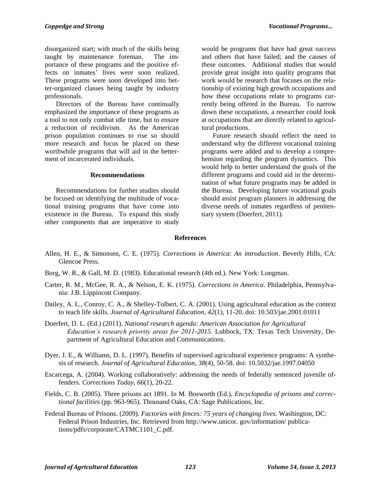disorganized start; with much of the skills being taught by maintenance foreman. The importance of these programs and the positive effects on inmates' lives were soon realized. These programs were soon developed into better-organized classes being taught by industry professionals.

Directors of the Bureau have continually emphasized the importance of these programs as a tool to not only combat idle time, but to ensure a reduction of recidivism. As the American prison population continues to rise so should more research and focus be placed on these worthwhile programs that will aid in the betterment of incarcerated individuals.

#### **Recommendations**

Recommendations for further studies should be focused on identifying the multitude of vocational training programs that have come into existence in the Bureau. To expand this study other components that are imperative to study

would be programs that have had great success and others that have failed; and the causes of these outcomes. Additional studies that would provide great insight into quality programs that work would be research that focuses on the relationship of existing high growth occupations and how these occupations relate to programs currently being offered in the Bureau. To narrow down these occupations, a researcher could look at occupations that are directly related to agricultural productions.

Future research should reflect the need to understand why the different vocational training programs were added and to develop a comprehension regarding the program dynamics. This would help to better understand the goals of the different programs and could aid in the determination of what future programs may be added in the Bureau. Developing future vocational goals should assist program planners in addressing the diverse needs of inmates regardless of penitentiary system (Doerfert, 2011).

#### **References**

- Allen, H. E., & Simonsen, C. E. (1975). *Corrections in America*: *An introduction*. Beverly Hills, CA: Glencoe Press.
- Borg, W. R., & Gall, M. D. (1983). Educational research (4th ed.). New York: Longman.
- Carter, R. M., McGee, R. A., & Nelson, E. K. (1975). *Corrections in America*. Philadelphia, Pennsylvania: J.B. Lippincott Company.
- Dailey, A. L., Conroy, C. A., & Shelley-Tolbert, C. A. (2001). Using agricultural education as the context to teach life skills. *Journal of Agricultural Education*, *42*(1), 11-20. doi: 10.503/jae.2001.01011
- Doerfert, D. L. (Ed.) (2011). *National research agenda: American Association for Agricultural Education's research priority areas for 2011-2015.* Lubbock, TX: Texas Tech University, Department of Agricultural Education and Communications.
- Dyer, J. E., & Williams, D. L. (1997). Benefits of supervised agricultural experience programs: A synthesis of research. *Journal of Agricultural Education*, *38*(4), 50-58. doi: 10.5032/jae.1997.04050
- Escarcega, A. (2004). Working collaboratively: addressing the needs of federally sentenced juvenile offenders. *Corrections Today*, *66*(1), 20-22.
- Fields, C. B. (2005). Three prisons act 1891. In M. Bosworth (Ed.), *Encyclopedia of prisons and correctional facilitie*s (pp. 963-965). Thousand Oaks, CA: Sage Publications, Inc.
- Federal Bureau of Prisons. (2009). *Factories with fences: 75 years of changing lives*. Washington, DC: Federal Prison Industries, Inc. Retrieved from http://www.unicor. gov/information/ publications/pdfs/corporate/CATMC1101\_C.pdf.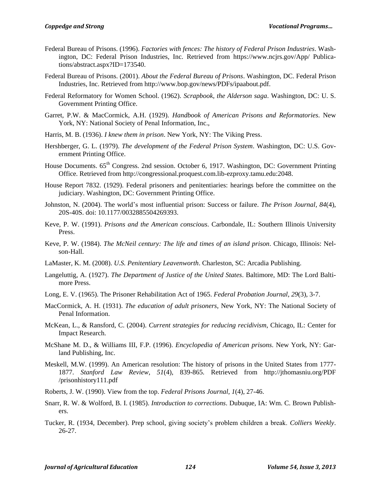- Federal Bureau of Prisons. (1996). *Factories with fences: The history of Federal Prison Industries*. Washington, DC: Federal Prison Industries, Inc. Retrieved from https://www.ncjrs.gov/App/ Publications/abstract.aspx?ID=173540.
- Federal Bureau of Prisons. (2001). *About the Federal Bureau of Prisons*. Washington, DC. Federal Prison Industries, Inc. Retrieved from http://www.bop.gov/news/PDFs/ipaabout.pdf.
- Federal Reformatory for Women School. (1962). *Scrapbook, the Alderson saga*. Washington, DC: U. S. Government Printing Office.
- Garret, P.W. & MacCormick, A.H. (1929). *Handbook of American Prisons and Reformatories*. New York, NY: National Society of Penal Information, Inc.,
- Harris, M. B. (1936). *I knew them in prison*. New York, NY: The Viking Press.
- Hershberger, G. L. (1979). *The development of the Federal Prison System*. Washington, DC: U.S. Government Printing Office.
- House Documents. 65<sup>th</sup> Congress. 2nd session. October 6, 1917. Washington, DC: Government Printing Office. Retrieved from http://congressional.proquest.com.lib-ezproxy.tamu.edu:2048.
- House Report 7832. (1929). Federal prisoners and penitentiaries: hearings before the committee on the judiciary. Washington, DC: Government Printing Office.
- Johnston, N. (2004). The world's most influential prison: Success or failure. *The Prison Journal, 84*(4), 20S-40S. doi: 10.1177/0032885504269393.
- Keve, P. W. (1991). *Prisons and the American conscious*. Carbondale, IL: Southern Illinois University Press.
- Keve, P. W. (1984). *The McNeil century: The life and times of an island prison*. Chicago, Illinois: Nelson-Hall.
- LaMaster, K. M. (2008). *U.S. Penitentiary Leavenworth*. Charleston, SC: Arcadia Publishing.
- Langeluttig, A. (1927). *The Department of Justice of the United States*. Baltimore, MD: The Lord Baltimore Press.
- Long, E. V. (1965). The Prisoner Rehabilitation Act of 1965. *Federal Probation Journal*, *29*(3), 3-7.
- MacCormick, A. H. (1931). *The education of adult prisoners*, New York, NY: The National Society of Penal Information.
- McKean, L., & Ransford, C. (2004). *Current strategies for reducing recidivism*, Chicago, IL: Center for Impact Research.
- McShane M. D., & Williams III, F.P. (1996). *Encyclopedia of American prisons*. New York, NY: Garland Publishing, Inc.
- Meskell, M.W. (1999). An American resolution: The history of prisons in the United States from 1777- 1877. *Stanford Law Review*, *51*(4), 839-865. Retrieved from http://jthomasniu.org/PDF /prisonhistory111.pdf
- Roberts, J. W. (1990). View from the top. *Federal Prisons Journal*, *1*(4), 27-46.
- Snarr, R. W. & Wolford, B. I. (1985). *Introduction to corrections*. Dubuque, IA: Wm. C. Brown Publishers.
- Tucker, R. (1934, December). Prep school, giving society's problem children a break. *Colliers Weekly*. 26-27.